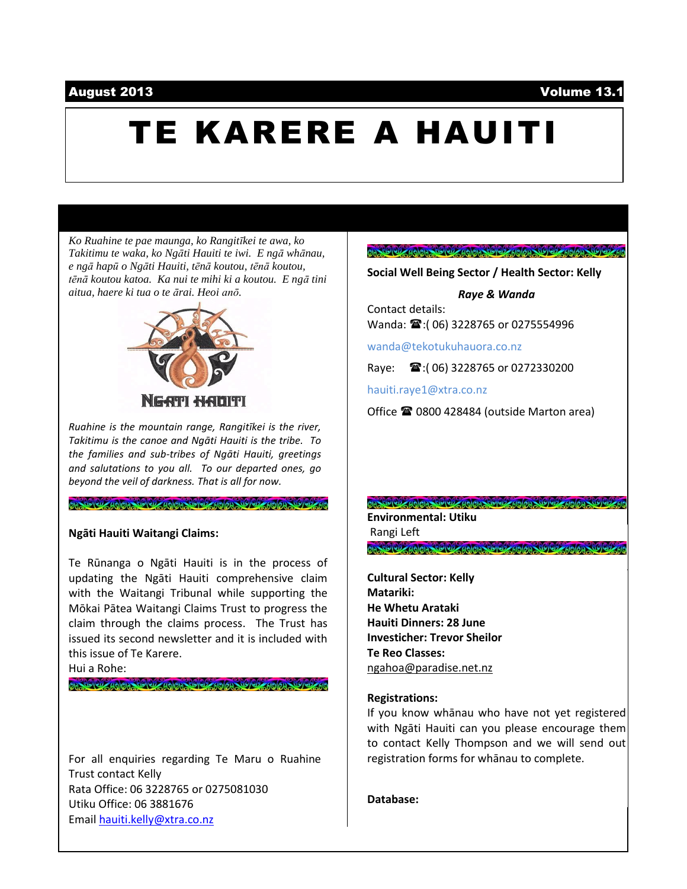### August 2013 Volume 13.1

# TE KARERE A HAUITI

*Ko Ruahine te pae maunga, ko Rangitīkei te awa, ko Takitimu te waka, ko Ngāti Hauiti te iwi. E ngā whānau, e ngā hapū o Ngāti Hauiti, tēnā koutou, tēnā koutou, tēnā koutou katoa. Ka nui te mihi ki a koutou. E ngā tini aitua, haere ki tua o te ārai. Heoi anō.*



*Ruahine is the mountain range, Rangitīkei is the river, Takitimu is the canoe and Ngāti Hauiti is the tribe. To the families and sub-tribes of Ngāti Hauiti, greetings and salutations to you all. To our departed ones, go beyond the veil of darkness. That is all for now.*

### **Ngāti Hauiti Waitangi Claims:**

Te Rūnanga o Ngāti Hauiti is in the process of updating the Ngāti Hauiti comprehensive claim with the Waitangi Tribunal while supporting the Mōkai Pātea Waitangi Claims Trust to progress the claim through the claims process. The Trust has issued its second newsletter and it is included with this issue of Te Karere.

Hui a Rohe:

ON ROOM ANON ROOM ANON ANOLANO COM TOOM ROOM

For all enquiries regarding Te Maru o Ruahine Trust contact Kelly Rata Office: 06 3228765 or 0275081030 Utiku Office: 06 3881676 Email [hauiti.kelly@xtra.co.nz](mailto:hauiti.kelly@xtra.co.nz)

### 

**Social Well Being Sector / Health Sector: Kelly**

*Raye & Wanda*

Contact details: Wanda:  $\mathbf{\mathcal{F}}$ :(06) 3228765 or 0275554996

wanda@tekotukuhauora.co.nz

Raye:  $\mathbf{\widehat{m}}$ : (06) 3228765 or 0272330200

hauiti.raye1@xtra.co.nz

Office  $\mathbf{\mathcal{D}}$  0800 428484 (outside Marton area)

00 10 00 40 00 10 00 40 00 00 10 00 10 00 10 **Environmental: Utiku** Rangi Left OR CO CD MOIOR CO CD MOIOR

**Cultural Sector: Kelly Matariki: He Whetu Arataki Hauiti Dinners: 28 June Investicher: Trevor Sheilor Te Reo Classes:** [ngahoa@paradise.net.nz](mailto:ngahoa@paradise.net.nz)

### **Registrations:**

If you know whānau who have not yet registered with Ngāti Hauiti can you please encourage them to contact Kelly Thompson and we will send out registration forms for whānau to complete.

**Database:**